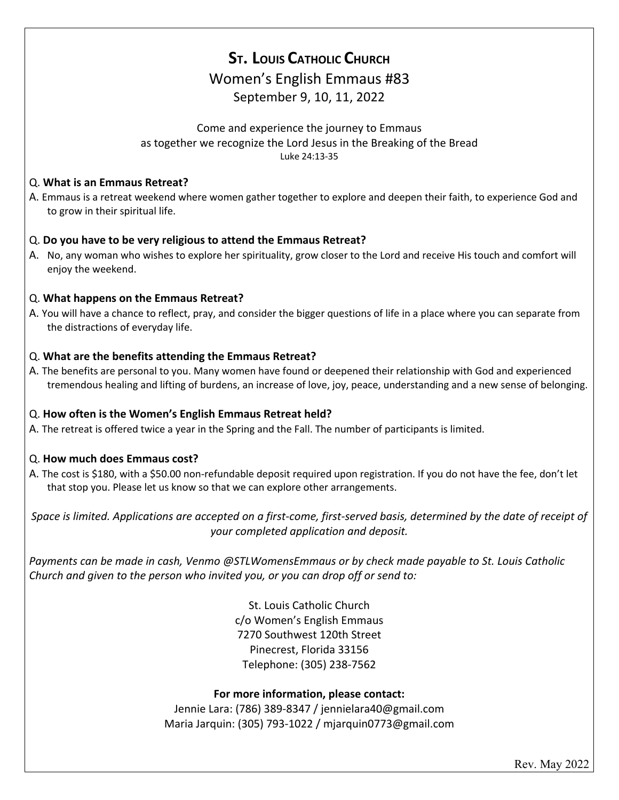# **ST. LOUIS CATHOLIC CHURCH** Women's English Emmaus #83 September 9, 10, 11, 2022

### Come and experience the journey to Emmaus as together we recognize the Lord Jesus in the Breaking of the Bread Luke 24:13-35

#### Q. **What is an Emmaus Retreat?**

A. Emmaus is a retreat weekend where women gather together to explore and deepen their faith, to experience God and to grow in their spiritual life.

### Q. **Do you have to be very religious to attend the Emmaus Retreat?**

A. No, any woman who wishes to explore her spirituality, grow closer to the Lord and receive His touch and comfort will enjoy the weekend.

#### Q. **What happens on the Emmaus Retreat?**

A. You will have a chance to reflect, pray, and consider the bigger questions of life in a place where you can separate from the distractions of everyday life.

### Q. **What are the benefits attending the Emmaus Retreat?**

A. The benefits are personal to you. Many women have found or deepened their relationship with God and experienced tremendous healing and lifting of burdens, an increase of love, joy, peace, understanding and a new sense of belonging.

## Q. **How often is the Women's English Emmaus Retreat held?**

A. The retreat is offered twice a year in the Spring and the Fall. The number of participants is limited.

## Q. **How much does Emmaus cost?**

A. The cost is \$180, with a \$50.00 non-refundable deposit required upon registration. If you do not have the fee, don't let that stop you. Please let us know so that we can explore other arrangements.

*Space is limited. Applications are accepted on a first-come, first-served basis, determined by the date of receipt of your completed application and deposit.*

*Payments can be made in cash, Venmo @STLWomensEmmaus or by check made payable to St. Louis Catholic Church and given to the person who invited you, or you can drop off or send to:*

> St. Louis Catholic Church c/o Women's English Emmaus 7270 Southwest 120th Street Pinecrest, Florida 33156 Telephone: (305) 238-7562

#### **For more information, please contact:**

Jennie Lara: (786) 389-8347 / jennielara40@gmail.com Maria Jarquin: (305) 793-1022 / mjarquin0773@gmail.com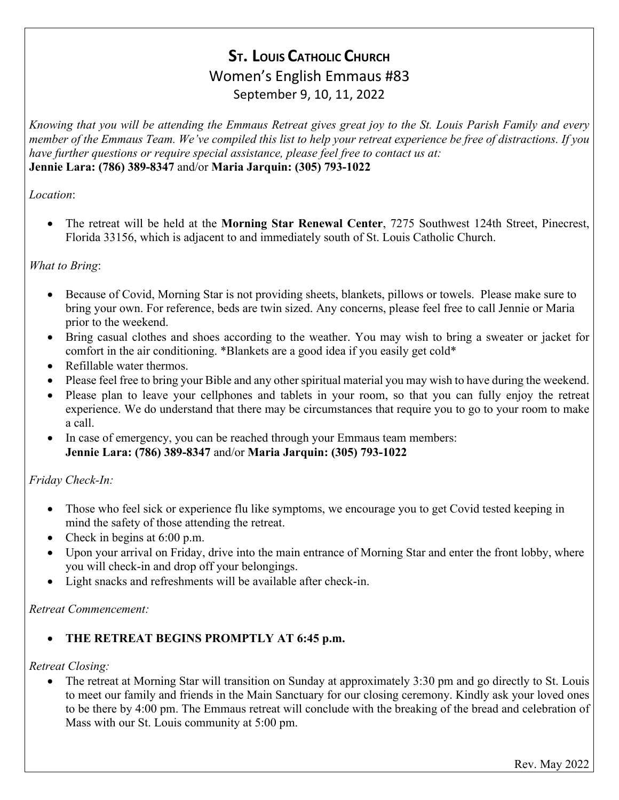# **ST. LOUIS CATHOLIC CHURCH** Women's English Emmaus #83 September 9, 10, 11, 2022

*Knowing that you will be attending the Emmaus Retreat gives great joy to the St. Louis Parish Family and every member of the Emmaus Team. We've compiled this list to help your retreat experience be free of distractions. If you have further questions or require special assistance, please feel free to contact us at:*  **Jennie Lara: (786) 389-8347** and/or **Maria Jarquin: (305) 793-1022**

# *Location*:

• The retreat will be held at the **Morning Star Renewal Center**, 7275 Southwest 124th Street, Pinecrest, Florida 33156, which is adjacent to and immediately south of St. Louis Catholic Church.

# *What to Bring*:

- Because of Covid, Morning Star is not providing sheets, blankets, pillows or towels. Please make sure to bring your own. For reference, beds are twin sized. Any concerns, please feel free to call Jennie or Maria prior to the weekend.
- Bring casual clothes and shoes according to the weather. You may wish to bring a sweater or jacket for comfort in the air conditioning. \*Blankets are a good idea if you easily get cold\*
- Refillable water thermos.
- Please feel free to bring your Bible and any other spiritual material you may wish to have during the weekend.
- Please plan to leave your cellphones and tablets in your room, so that you can fully enjoy the retreat experience. We do understand that there may be circumstances that require you to go to your room to make a call.
- In case of emergency, you can be reached through your Emmaus team members: **Jennie Lara: (786) 389-8347** and/or **Maria Jarquin: (305) 793-1022**

# *Friday Check-In:*

- Those who feel sick or experience flu like symptoms, we encourage you to get Covid tested keeping in mind the safety of those attending the retreat.
- Check in begins at 6:00 p.m.
- Upon your arrival on Friday, drive into the main entrance of Morning Star and enter the front lobby, where you will check-in and drop off your belongings.
- Light snacks and refreshments will be available after check-in.

## *Retreat Commencement:*

# • **THE RETREAT BEGINS PROMPTLY AT 6:45 p.m.**

## *Retreat Closing:*

• The retreat at Morning Star will transition on Sunday at approximately 3:30 pm and go directly to St. Louis to meet our family and friends in the Main Sanctuary for our closing ceremony. Kindly ask your loved ones to be there by 4:00 pm. The Emmaus retreat will conclude with the breaking of the bread and celebration of Mass with our St. Louis community at 5:00 pm.